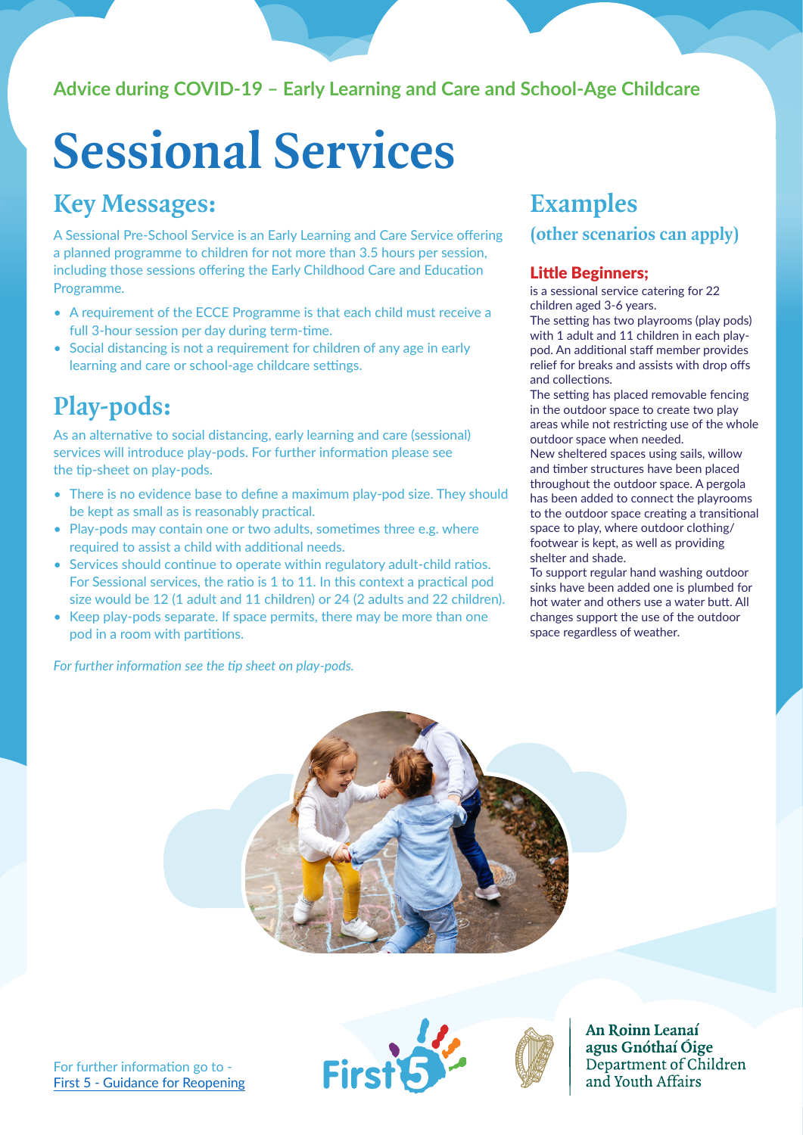### **Advice during COVID-19 – Early Learning and Care and School-Age Childcare**

# **Sessional Services**

## **Key Messages:**

A Sessional Pre-School Service is an Early Learning and Care Service offering a planned programme to children for not more than 3.5 hours per session, including those sessions offering the Early Childhood Care and Education Programme.

- A requirement of the ECCE Programme is that each child must receive a full 3-hour session per day during term-time.
- Social distancing is not a requirement for children of any age in early learning and care or school-age childcare settings.

## **Play-pods:**

As an alternative to social distancing, early learning and care (sessional) services will introduce play-pods. For further information please see the tip-sheet on play-pods.

- There is no evidence base to define a maximum play-pod size. They should be kept as small as is reasonably practical.
- Play-pods may contain one or two adults, sometimes three e.g. where required to assist a child with additional needs.
- Services should continue to operate within regulatory adult-child ratios. For Sessional services, the ratio is 1 to 11. In this context a practical pod size would be 12 (1 adult and 11 children) or 24 (2 adults and 22 children).
- Keep play-pods separate. If space permits, there may be more than one pod in a room with partitions.

*For further information see the tip sheet on play-pods.*

## **Examples**

**(other scenarios can apply)**

#### Little Beginners;

is a sessional service catering for 22 children aged 3-6 years.

The setting has two playrooms (play pods) with 1 adult and 11 children in each playpod. An additional staff member provides relief for breaks and assists with drop offs and collections.

The setting has placed removable fencing in the outdoor space to create two play areas while not restricting use of the whole outdoor space when needed.

New sheltered spaces using sails, willow and timber structures have been placed throughout the outdoor space. A pergola has been added to connect the playrooms to the outdoor space creating a transitional space to play, where outdoor clothing/ footwear is kept, as well as providing shelter and shade.

To support regular hand washing outdoor sinks have been added one is plumbed for hot water and others use a water butt. All changes support the use of the outdoor space regardless of weather.



For further information go to - [First 5 - Guidance for Reopening](https://first5.gov.ie/practitioners/reopening)



An Roinn Leanaí agus Gnóthaí Óige Department of Children and Youth Affairs